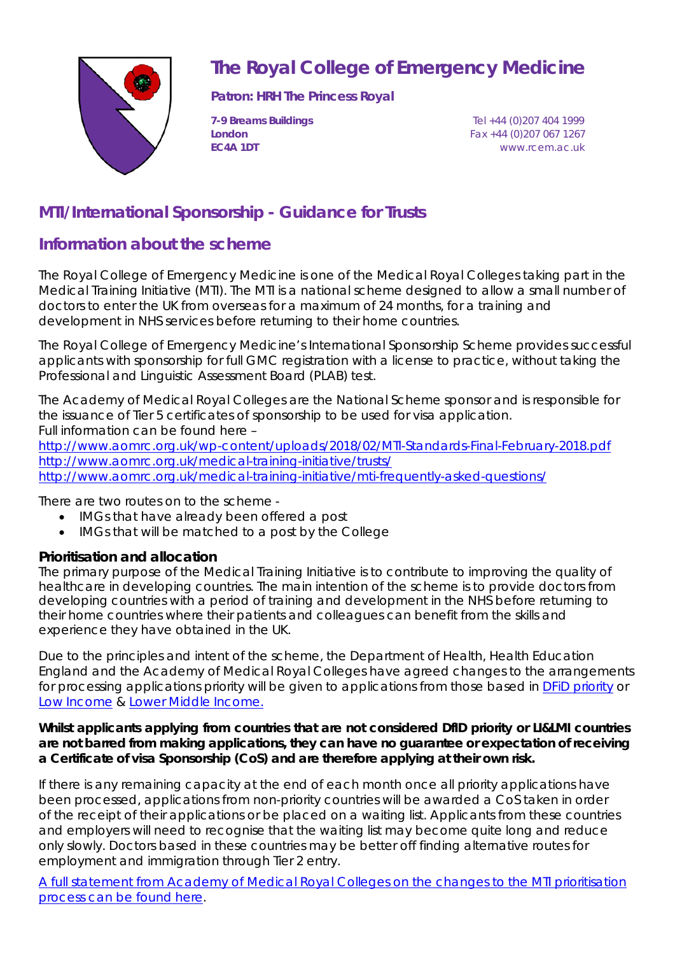

## **The Royal College of Emergency Medicine**

**Patron: HRH The Princess Royal**

**7-9 Breams Buildings** Tel +44 (0)207 404 1999 **London** Fax +44 (0)207 067 1267 **EC4A 1DT** www.rcem.ac.uk

## **MTI/International Sponsorship - Guidance for Trusts**

## **Information about the scheme**

The Royal College of Emergency Medicine is one of the Medical Royal Colleges taking part in the Medical Training Initiative (MTI). The MTI is a national scheme designed to allow a small number of doctors to enter the UK from overseas for a maximum of 24 months, for a training and development in NHS services before returning to their home countries.

The Royal College of Emergency Medicine's International Sponsorship Scheme provides successful applicants with sponsorship for full GMC registration with a license to practice, without taking the Professional and Linguistic Assessment Board (PLAB) test.

The Academy of Medical Royal Colleges are the National Scheme sponsor and is responsible for the issuance of Tier 5 certificates of sponsorship to be used for visa application. Full information can be found here –

<http://www.aomrc.org.uk/wp-content/uploads/2018/02/MTI-Standards-Final-February-2018.pdf> <http://www.aomrc.org.uk/medical-training-initiative/trusts/> http://www.aomrc.org.uk/medical-training-initiative/mti-frequently-asked-questions/

There are two routes on to the scheme -

- IMGs that have already been offered a post
- IMGs that will be matched to a post by the College

#### **Prioritisation and allocation**

The primary purpose of the Medical Training Initiative is to contribute to improving the quality of healthcare in developing countries. The main intention of the scheme is to provide doctors from developing countries with a period of training and development in the NHS before returning to their home countries where their patients and colleagues can benefit from the skills and experience they have obtained in the UK.

Due to the principles and intent of the scheme, the Department of Health, Health Education England and the Academy of Medical Royal Colleges have agreed changes to the arrangements for processing applications priority will be given to applications from those based in DFiD [priority](https://www.gov.uk/guidance/where-we-work) or Low [Income](https://data.worldbank.org/income-level/low-income) & [Lower Middle Income.](https://data.worldbank.org/income-level/lower-middle-income)

#### **Whilst applicants applying from countries that are not considered DfID priority or LI&LMI countries are not barred from making applications, they can have no guarantee or expectation of receiving a Certificate of visa Sponsorship (CoS) and are therefore applying at their own risk.**

If there is any remaining capacity at the end of each month once all priority applications have been processed, applications from non-priority countries will be awarded a CoS taken in order of the receipt of their applications or be placed on a waiting list. Applicants from these countries and employers will need to recognise that the waiting list may become quite long and reduce only slowly. Doctors based in these countries may be better off finding alternative routes for employment and immigration through Tier 2 entry.

[A full statement from Academy of Medical Royal Colleges on the changes to the MTI prioritisation](http://www.aomrc.org.uk/news-and-views/important-changes-medical-training-initiative-prioritisation-process/) [process can be found here.](http://www.aomrc.org.uk/news-and-views/important-changes-medical-training-initiative-prioritisation-process/)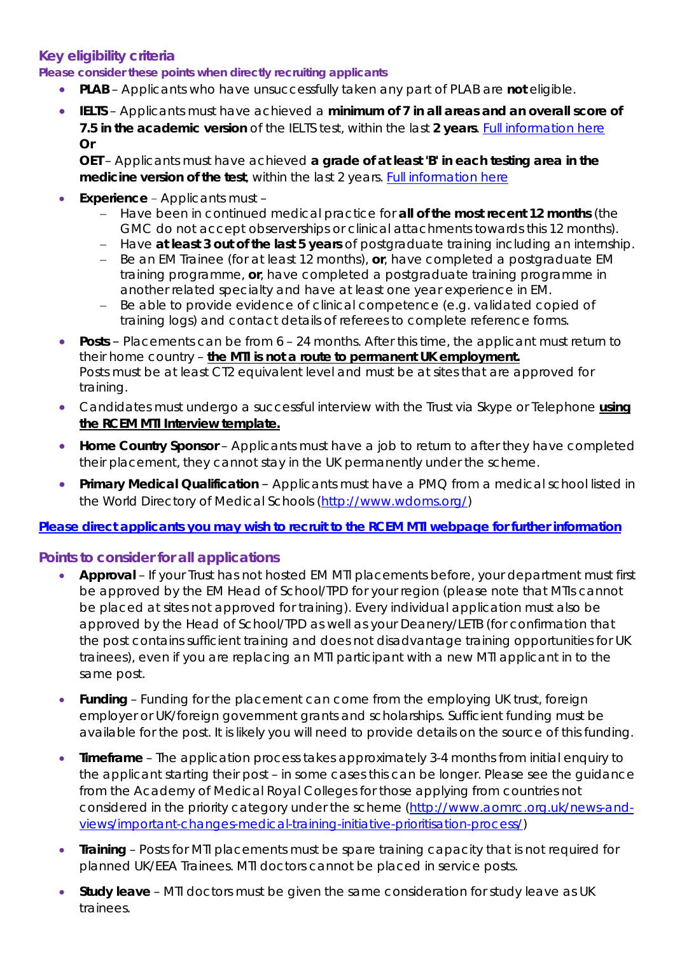#### **Key eligibility criteria**

**Please consider these points when directly recruiting applicants**

- **PLAB** Applicants who have unsuccessfully taken any part of PLAB are **not** eligible.
- **IELTS**  Applicants must have achieved a **minimum of 7 in all areas and an overall score of 7.5 in the academic version** of the IELTS test, within the last 2 years. [Full information here](https://www.gmc-uk.org/registration-and-licensing/join-the-register/before-you-apply/evidence-of-your-knowledge-of-english/using-your-ielts-certificate) **Or**

**OET** – Applicants must have achieved **a grade of at least 'B' in each testing area in the medicine version of the test**, within the last 2 years. [Full information here](https://www.gmc-uk.org/registration-and-licensing/join-the-register/before-you-apply/evidence-of-your-knowledge-of-english/using-your-oet-certificate)

- **Experience** Applicants must
	- − Have been in continued medical practice for **all of the most recent 12 months** (the GMC do not accept observerships or clinical attachments towards this 12 months).
	- − Have **at least 3 out of the last 5 years** of postgraduate training including an internship.
	- − Be an EM Trainee (for at least 12 months), **or**, have completed a postgraduate EM training programme, **or**, have completed a postgraduate training programme in another related specialty and have at least one year experience in EM.
	- − Be able to provide evidence of clinical competence (e.g. validated copied of training logs) and contact details of referees to complete reference forms.
- **Posts** Placements can be from 6 24 months. After this time, the applicant must return to their home country – **the MTI is not a route to permanent UK employment.** Posts must be at least CT2 equivalent level and must be at sites that are approved for training.
- Candidates must undergo a successful interview with the Trust via Skype or Telephone **using the RCEM MTI Interview template.**
- **Home Country Sponsor** Applicants must have a job to return to after they have completed their placement, they cannot stay in the UK permanently under the scheme.
- **Primary Medical Qualification** Applicants must have a PMQ from a medical school listed in the World Directory of Medical Schools [\(http://www.wdoms.org/\)](http://www.wdoms.org/)

#### **[Please direct applicants you may wish to recruit to the RCEM MTI webpage](http://www.rcem.ac.uk/RCEM/Exams_Training/International_Graduates/MTI_Info_for_Trainees/RCEM/Exams_Training/International_Graduates/MTI_Info_for_Trainees.aspx?hkey=9dcd41db-101b-4f6a-b417-052d2ceec7e8) for further information**

#### **Points to consider for all applications**

- **Approval**  If your Trust has not hosted EM MTI placements before, your department must first be approved by the EM Head of School/TPD for your region (please note that MTIs cannot be placed at sites not approved for training). Every individual application must also be approved by the Head of School/TPD as well as your Deanery/LETB (for confirmation that the post contains sufficient training and does not disadvantage training opportunities for UK trainees), even if you are replacing an MTI participant with a new MTI applicant in to the same post.
- **Funding**  Funding for the placement can come from the employing UK trust, foreign employer or UK/foreign government grants and scholarships. Sufficient funding must be available for the post. It is likely you will need to provide details on the source of this funding.
- **Timeframe** The application process takes approximately 3-4 months from initial enquiry to the applicant starting their post – in some cases this can be longer. Please see the guidance from the Academy of Medical Royal Colleges for those applying from countries not considered in the priority category under the scheme [\(http://www.aomrc.org.uk/news-and](http://www.aomrc.org.uk/news-and-views/important-changes-medical-training-initiative-prioritisation-process/)[views/important-changes-medical-training-initiative-prioritisation-process/\)](http://www.aomrc.org.uk/news-and-views/important-changes-medical-training-initiative-prioritisation-process/)
- **Training**  Posts for MTI placements must be spare training capacity that is not required for planned UK/EEA Trainees. MTI doctors cannot be placed in service posts.
- **Study leave** MTI doctors must be given the same consideration for study leave as UK trainees.